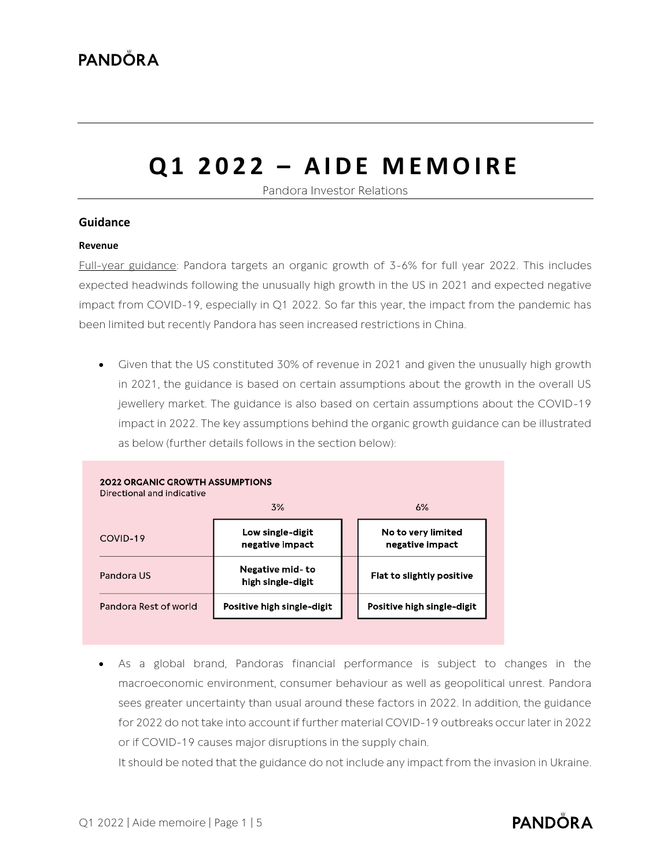# **Q1 2 0 2 2 – A I D E M E M O I R E**

Pandora Investor Relations

#### **Guidance**

#### **Revenue**

Full-year guidance: Pandora targets an organic growth of 3-6% for full year 2022. This includes expected headwinds following the unusually high growth in the US in 2021 and expected negative impact from COVID-19, especially in Q1 2022. So far this year, the impact from the pandemic has been limited but recently Pandora has seen increased restrictions in China.

• Given that the US constituted 30% of revenue in 2021 and given the unusually high growth in 2021, the guidance is based on certain assumptions about the growth in the overall US jewellery market. The guidance is also based on certain assumptions about the COVID-19 impact in 2022. The key assumptions behind the organic growth guidance can be illustrated as below (further details follows in the section below):

| <b>2022 ORGANIC GROWTH ASSUMPTIONS</b><br>Directional and indicative<br>3%<br>6% |                                      |  |                                       |  |  |  |  |  |
|----------------------------------------------------------------------------------|--------------------------------------|--|---------------------------------------|--|--|--|--|--|
| COVID-19                                                                         | Low single-digit<br>negative impact  |  | No to very limited<br>negative impact |  |  |  |  |  |
| Pandora US                                                                       | Negative mid-to<br>high single-digit |  | Flat to slightly positive             |  |  |  |  |  |
| Pandora Rest of world                                                            | Positive high single-digit           |  | Positive high single-digit            |  |  |  |  |  |

As a global brand, Pandoras financial performance is subject to changes in the macroeconomic environment, consumer behaviour as well as geopolitical unrest. Pandora sees greater uncertainty than usual around these factors in 2022. In addition, the guidance for 2022 do not take into account if further material COVID-19 outbreaks occur later in 2022 or if COVID-19 causes major disruptions in the supply chain.

It should be noted that the guidance do not include any impact from the invasion in Ukraine.

### **PANDÖRA**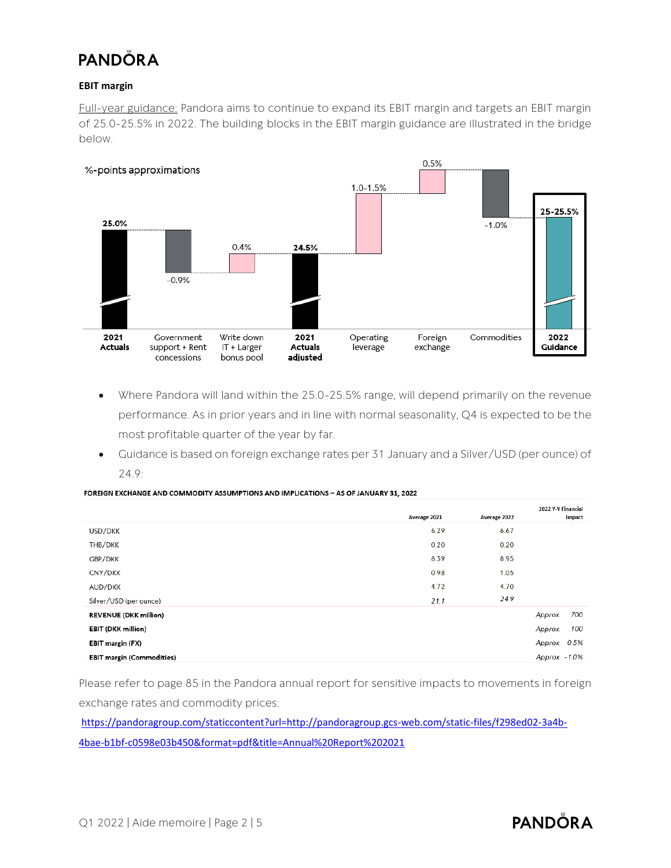#### **EBIT margin**

Full-year guidance: Pandora aims to continue to expand its EBIT margin and targets an EBIT margin of 25.0-25.5% in 2022. The building blocks in the EBIT margin guidance are illustrated in the bridge below.



- Where Pandora will land within the 25.0-25.5% range, will depend primarily on the revenue performance. As in prior years and in line with normal seasonality, Q4 is expected to be the most profitable quarter of the year by far.
- Guidance is based on foreign exchange rates per 31 January and a Silver/USD (per ounce) of 24.9:

|  |  | FOREIGN EXCHANGE AND COMMODITY ASSUMPTIONS AND IMPLICATIONS – AS OF JANUARY 31, 2022 |  |
|--|--|--------------------------------------------------------------------------------------|--|
|  |  |                                                                                      |  |

|                                  |              |              | 2022 Y-Y Financial |
|----------------------------------|--------------|--------------|--------------------|
|                                  | Average 2021 | Average 2022 | Impact             |
| USD/DKK                          | 6.29         | 6.67         |                    |
| THB/DKK                          | 0.20         | 0.20         |                    |
| GBP/DKK                          | 8.39         | 8.95         |                    |
| CNY/DKK                          | 0.98         | 1.05         |                    |
| AUD/DKK                          | 4.72         | 4.70         |                    |
| Silver/USD (per ounce)           | 21.1         | 24.9         |                    |
| <b>REVENUE (DKK million)</b>     |              |              | 700<br>Approx.     |
| <b>EBIT (DKK million)</b>        |              |              | 100<br>Approx.     |
| EBIT margin (FX)                 |              |              | Approx. 0.5%       |
| <b>EBIT margin (Commodities)</b> |              |              | Approx. - 1.0%     |

Please refer to page 85 in the Pandora annual report for sensitive impacts to movements in foreign exchange rates and commodity prices:

[https://pandoragroup.com/staticcontent?url=http://pandoragroup.gcs-web.com/static-files/f298ed02-3a4b-](https://pandoragroup.com/staticcontent?url=http://pandoragroup.gcs-web.com/static-files/f298ed02-3a4b-4bae-b1bf-c0598e03b450&format=pdf&title=Annual%20Report%202021)[4bae-b1bf-c0598e03b450&format=pdf&title=Annual%20Report%202021](https://pandoragroup.com/staticcontent?url=http://pandoragroup.gcs-web.com/static-files/f298ed02-3a4b-4bae-b1bf-c0598e03b450&format=pdf&title=Annual%20Report%202021)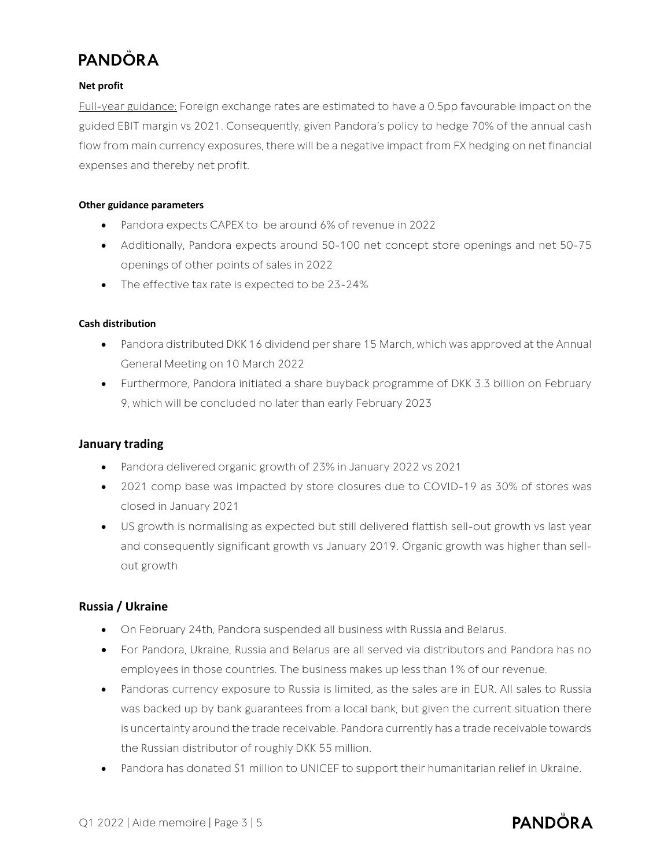#### **Net profit**

Full-year guidance: Foreign exchange rates are estimated to have a 0.5pp favourable impact on the guided EBIT margin vs 2021. Consequently, given Pandora's policy to hedge 70% of the annual cash flow from main currency exposures, there will be a negative impact from FX hedging on net financial expenses and thereby net profit.

#### **Other guidance parameters**

- Pandora expects CAPEX to be around 6% of revenue in 2022
- Additionally, Pandora expects around 50-100 net concept store openings and net 50-75 openings of other points of sales in 2022
- The effective tax rate is expected to be 23-24%

#### **Cash distribution**

- Pandora distributed DKK 16 dividend per share 15 March, which was approved at the Annual General Meeting on 10 March 2022
- Furthermore, Pandora initiated a share buyback programme of DKK 3.3 billion on February 9, which will be concluded no later than early February 2023

#### **January trading**

- Pandora delivered organic growth of 23% in January 2022 vs 2021
- 2021 comp base was impacted by store closures due to COVID-19 as 30% of stores was closed in January 2021
- US growth is normalising as expected but still delivered flattish sell-out growth vs last year and consequently significant growth vs January 2019. Organic growth was higher than sellout growth

### **Russia / Ukraine**

- On February 24th, Pandora suspended all business with Russia and Belarus.
- For Pandora, Ukraine, Russia and Belarus are all served via distributors and Pandora has no employees in those countries. The business makes up less than 1% of our revenue.
- Pandoras currency exposure to Russia is limited, as the sales are in EUR. All sales to Russia was backed up by bank guarantees from a local bank, but given the current situation there is uncertainty around the trade receivable. Pandora currently has a trade receivable towards the Russian distributor of roughly DKK 55 million.
- Pandora has donated \$1 million to UNICEF to support their humanitarian relief in Ukraine.

### **PANDÖRA**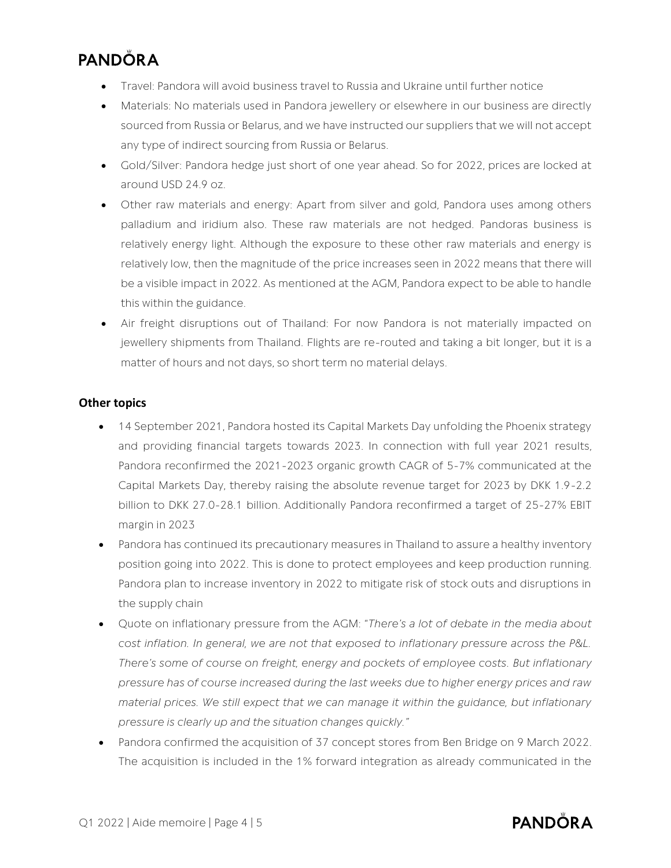- Travel: Pandora will avoid business travel to Russia and Ukraine until further notice
- Materials: No materials used in Pandora jewellery or elsewhere in our business are directly sourced from Russia or Belarus, and we have instructed our suppliers that we will not accept any type of indirect sourcing from Russia or Belarus.
- Gold/Silver: Pandora hedge just short of one year ahead. So for 2022, prices are locked at around USD 24.9 oz.
- Other raw materials and energy: Apart from silver and gold, Pandora uses among others palladium and iridium also. These raw materials are not hedged. Pandoras business is relatively energy light. Although the exposure to these other raw materials and energy is relatively low, then the magnitude of the price increases seen in 2022 means that there will be a visible impact in 2022. As mentioned at the AGM, Pandora expect to be able to handle this within the guidance.
- Air freight disruptions out of Thailand: For now Pandora is not materially impacted on jewellery shipments from Thailand. Flights are re-routed and taking a bit longer, but it is a matter of hours and not days, so short term no material delays.

### **Other topics**

- 14 September 2021, Pandora hosted its Capital Markets Day unfolding the Phoenix strategy and providing financial targets towards 2023. In connection with full year 2021 results, Pandora reconfirmed the 2021-2023 organic growth CAGR of 5-7% communicated at the Capital Markets Day, thereby raising the absolute revenue target for 2023 by DKK 1.9-2.2 billion to DKK 27.0-28.1 billion. Additionally Pandora reconfirmed a target of 25-27% EBIT margin in 2023
- Pandora has continued its precautionary measures in Thailand to assure a healthy inventory position going into 2022. This is done to protect employees and keep production running. Pandora plan to increase inventory in 2022 to mitigate risk of stock outs and disruptions in the supply chain
- Quote on inflationary pressure from the AGM: "*There's a lot of debate in the media about cost inflation. In general, we are not that exposed to inflationary pressure across the P&L. There's some of course on freight, energy and pockets of employee costs. But inflationary pressure has of course increased during the last weeks due to higher energy prices and raw material prices. We still expect that we can manage it within the guidance, but inflationary pressure is clearly up and the situation changes quickly."*
- Pandora confirmed the acquisition of 37 concept stores from Ben Bridge on 9 March 2022. The acquisition is included in the 1% forward integration as already communicated in the